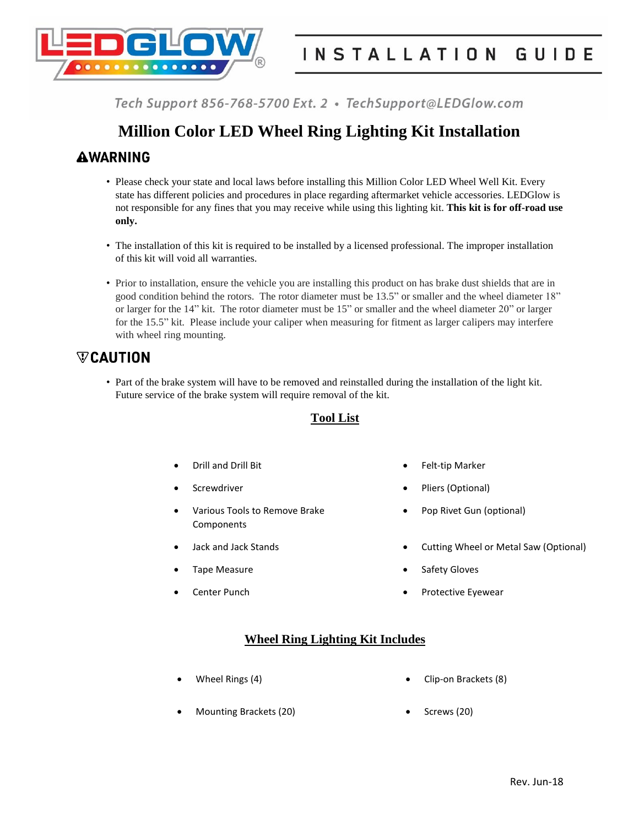

# **Million Color LED Wheel Ring Lighting Kit Installation**

## **AWARNING**

- Please check your state and local laws before installing this Million Color LED Wheel Well Kit. Every state has different policies and procedures in place regarding aftermarket vehicle accessories. LEDGlow is not responsible for any fines that you may receive while using this lighting kit. **This kit is for off-road use only.**
- The installation of this kit is required to be installed by a licensed professional. The improper installation of this kit will void all warranties.
- Prior to installation, ensure the vehicle you are installing this product on has brake dust shields that are in good condition behind the rotors. The rotor diameter must be 13.5" or smaller and the wheel diameter 18" or larger for the 14" kit. The rotor diameter must be 15" or smaller and the wheel diameter 20" or larger for the 15.5" kit. Please include your caliper when measuring for fitment as larger calipers may interfere with wheel ring mounting.

# $\nabla$ CAUTION

• Part of the brake system will have to be removed and reinstalled during the installation of the light kit. Future service of the brake system will require removal of the kit.

## **Tool List**

- 
- 
- Various Tools to Remove Brake Components
- 
- 
- 
- Drill and Drill Bit **Felt-tip Marker**
- Screwdriver **Calculate Contract Contract Contract Contract Contract Contract Contract Contract Contract Contract Contract Contract Contract Contract Contract Contract Contract Contract Contract Contract Contract Contract C** 
	- Pop Rivet Gun (optional)
- Jack and Jack Stands **Cultimes Cutting Wheel or Metal Saw (Optional)**
- Tape Measure **Safety Gloves Contract Contract Contract Contract Contract Contract Contract Contract Contract Contract Contract Contract Contract Contract Contract Contract Contract Contract Contract Contract Contract Con**
- Center Punch **Center Punch Protective Eyewear**

### **Wheel Ring Lighting Kit Includes**

- 
- Wheel Rings (4) **Clip-on Brackets (8)**
- Mounting Brackets (20) **Canadian Control** 6 Screws (20)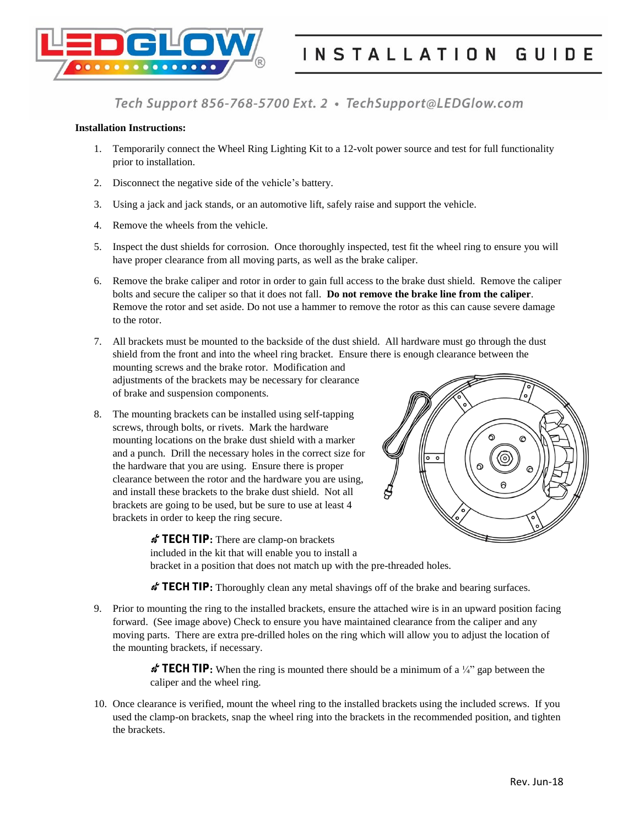

#### **Installation Instructions:**

- 1. Temporarily connect the Wheel Ring Lighting Kit to a 12-volt power source and test for full functionality prior to installation.
- 2. Disconnect the negative side of the vehicle's battery.
- 3. Using a jack and jack stands, or an automotive lift, safely raise and support the vehicle.
- 4. Remove the wheels from the vehicle.
- 5. Inspect the dust shields for corrosion. Once thoroughly inspected, test fit the wheel ring to ensure you will have proper clearance from all moving parts, as well as the brake caliper.
- 6. Remove the brake caliper and rotor in order to gain full access to the brake dust shield. Remove the caliper bolts and secure the caliper so that it does not fall. **Do not remove the brake line from the caliper**. Remove the rotor and set aside. Do not use a hammer to remove the rotor as this can cause severe damage to the rotor.
- 7. All brackets must be mounted to the backside of the dust shield. All hardware must go through the dust shield from the front and into the wheel ring bracket. Ensure there is enough clearance between the mounting screws and the brake rotor. Modification and adjustments of the brackets may be necessary for clearance of brake and suspension components.
- 8. The mounting brackets can be installed using self-tapping screws, through bolts, or rivets. Mark the hardware mounting locations on the brake dust shield with a marker and a punch. Drill the necessary holes in the correct size for the hardware that you are using. Ensure there is proper clearance between the rotor and the hardware you are using, and install these brackets to the brake dust shield. Not all brackets are going to be used, but be sure to use at least 4 brackets in order to keep the ring secure.



*s* TECH TIP: There are clamp-on brackets included in the kit that will enable you to install a bracket in a position that does not match up with the pre-threaded holes.

*f* TECH TIP: Thoroughly clean any metal shavings off of the brake and bearing surfaces.

9. Prior to mounting the ring to the installed brackets, ensure the attached wire is in an upward position facing forward. (See image above) Check to ensure you have maintained clearance from the caliper and any moving parts. There are extra pre-drilled holes on the ring which will allow you to adjust the location of the mounting brackets, if necessary.

> **: TECH TIP:** When the ring is mounted there should be a minimum of a  $\frac{1}{4}$  gap between the caliper and the wheel ring.

10. Once clearance is verified, mount the wheel ring to the installed brackets using the included screws. If you used the clamp-on brackets, snap the wheel ring into the brackets in the recommended position, and tighten the brackets.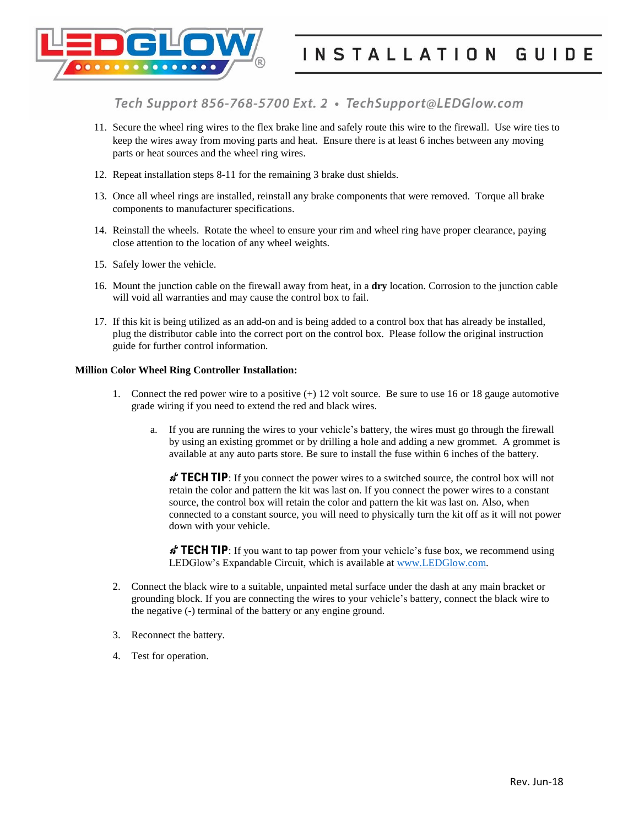

- 11. Secure the wheel ring wires to the flex brake line and safely route this wire to the firewall. Use wire ties to keep the wires away from moving parts and heat. Ensure there is at least 6 inches between any moving parts or heat sources and the wheel ring wires.
- 12. Repeat installation steps 8-11 for the remaining 3 brake dust shields.
- 13. Once all wheel rings are installed, reinstall any brake components that were removed. Torque all brake components to manufacturer specifications.
- 14. Reinstall the wheels. Rotate the wheel to ensure your rim and wheel ring have proper clearance, paying close attention to the location of any wheel weights.
- 15. Safely lower the vehicle.
- 16. Mount the junction cable on the firewall away from heat, in a **dry** location. Corrosion to the junction cable will void all warranties and may cause the control box to fail.
- 17. If this kit is being utilized as an add-on and is being added to a control box that has already be installed, plug the distributor cable into the correct port on the control box. Please follow the original instruction guide for further control information.

### **Million Color Wheel Ring Controller Installation:**

- 1. Connect the red power wire to a positive (+) 12 volt source. Be sure to use 16 or 18 gauge automotive grade wiring if you need to extend the red and black wires.
	- a. If you are running the wires to your vehicle's battery, the wires must go through the firewall by using an existing grommet or by drilling a hole and adding a new grommet. A grommet is available at any auto parts store. Be sure to install the fuse within 6 inches of the battery.

 $\mathbf{\hat{z}}$  **TECH TIP**: If you connect the power wires to a switched source, the control box will not retain the color and pattern the kit was last on. If you connect the power wires to a constant source, the control box will retain the color and pattern the kit was last on. Also, when connected to a constant source, you will need to physically turn the kit off as it will not power down with your vehicle.

**TECH TIP**: If you want to tap power from your vehicle's fuse box, we recommend using LEDGlow's Expandable Circuit, which is available at [www.LEDGlow.com.](http://www.ledglow.com/)

- 2. Connect the black wire to a suitable, unpainted metal surface under the dash at any main bracket or grounding block. If you are connecting the wires to your vehicle's battery, connect the black wire to the negative (-) terminal of the battery or any engine ground.
- 3. Reconnect the battery.
- 4. Test for operation.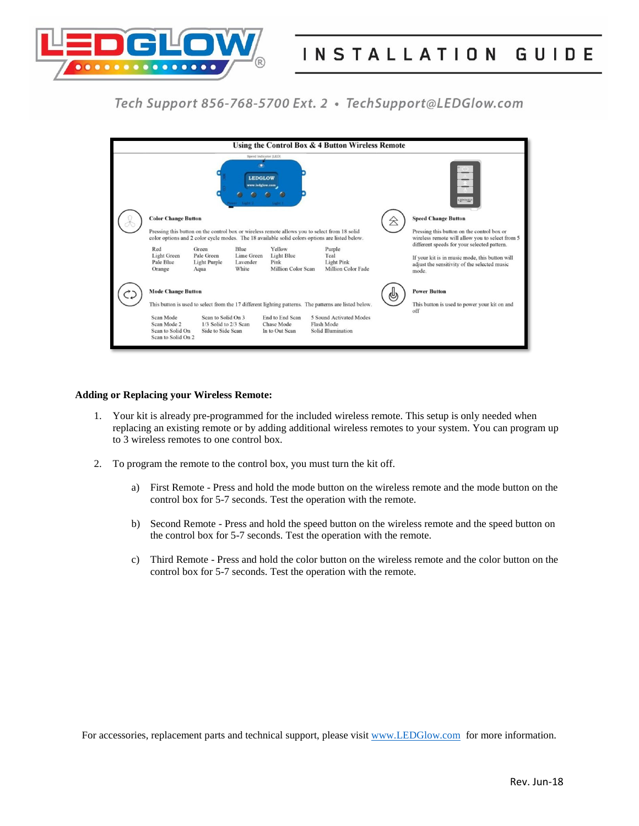

| Using the Control Box & 4 Button Wireless Remote                                                                                                             |                                                                                                                            |                                                                  |                                                                                                                                                        |
|--------------------------------------------------------------------------------------------------------------------------------------------------------------|----------------------------------------------------------------------------------------------------------------------------|------------------------------------------------------------------|--------------------------------------------------------------------------------------------------------------------------------------------------------|
| Speed Indicator [LED]<br><b>LEDGLOW</b><br>www.ledglow.com<br>LEDGLOW                                                                                        |                                                                                                                            |                                                                  |                                                                                                                                                        |
| <b>Color Change Button</b><br>Pressing this button on the control box or wireless remote allows you to select from 18 solid                                  |                                                                                                                            |                                                                  | <b>Speed Change Button</b><br>8<br>Pressing this button on the control box or                                                                          |
| color options and 2 color cycle modes. The 18 available solid colors options are listed below.                                                               |                                                                                                                            |                                                                  | wireless remote will allow you to select from 5                                                                                                        |
| Red<br>Green<br><b>Light Green</b><br>Pale Green<br>Pale Blue<br>Light Purple<br>Orange<br>Aqua                                                              | Yellow<br>Blue<br>Lime Green<br><b>Light Blue</b><br>Lavender<br>Pink<br><b>Million Color Scan</b><br>White                | Purple<br>Teal<br><b>Light Pink</b><br><b>Million Color Fade</b> | different speeds for your selected pattern.<br>If your kit is in music mode, this button will<br>adjust the sensitivity of the selected music<br>mode. |
| <b>Mode Change Button</b>                                                                                                                                    |                                                                                                                            |                                                                  | <b>Power Button</b><br>ᄲ                                                                                                                               |
| This button is used to power your kit on and<br>This button is used to select from the 17 different lighting patterns. The patterns are listed below.<br>off |                                                                                                                            |                                                                  |                                                                                                                                                        |
| Scan Mode<br>Scan Mode 2<br>Scan to Solid On<br>Scan to Solid On 2                                                                                           | Scan to Solid On 3<br>End to End Scan<br>1/3 Solid to 2/3 Scan<br><b>Chase Mode</b><br>Side to Side Scan<br>In to Out Scan | 5 Sound Activated Modes<br>Flash Mode<br>Solid Illumination      |                                                                                                                                                        |

### **Adding or Replacing your Wireless Remote:**

- 1. Your kit is already pre-programmed for the included wireless remote. This setup is only needed when replacing an existing remote or by adding additional wireless remotes to your system. You can program up to 3 wireless remotes to one control box.
- 2. To program the remote to the control box, you must turn the kit off.
	- a) First Remote Press and hold the mode button on the wireless remote and the mode button on the control box for 5-7 seconds. Test the operation with the remote.
	- b) Second Remote Press and hold the speed button on the wireless remote and the speed button on the control box for 5-7 seconds. Test the operation with the remote.
	- c) Third Remote Press and hold the color button on the wireless remote and the color button on the control box for 5-7 seconds. Test the operation with the remote.

For accessories, replacement parts and technical support, please visit [www.LEDGlow.com](http://www.ledglow.com/) for more information.